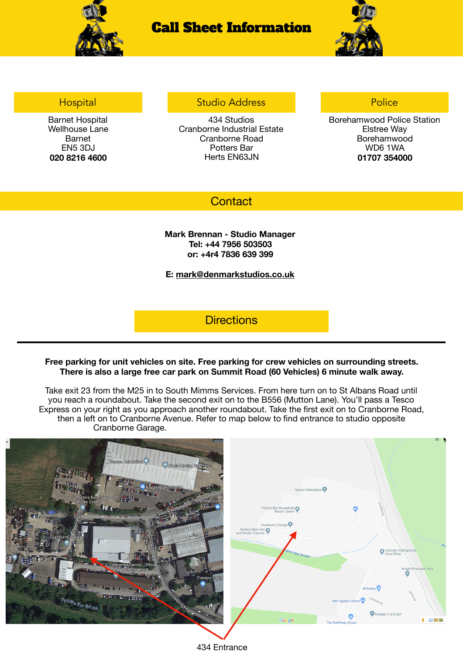

# Call Sheet Information



### **Hospital**

Barnet Hospital Wellhouse Lane Barnet EN5 3DJ **020 8216 4600**

### Studio Address

434 Studios Cranborne Industrial Estate Cranborne Road Potters Bar Herts EN63JN

## Police

Borehamwood Police Station Elstree Way Borehamwood WD6 1WA **01707 354000**

## **Contact**

#### **Mark Brennan - Studio Manager Tel: +44 7956 503503 or: +4r4 7836 639 399**

#### **E: [mark@denmarkstudios.co.uk](mailto:mark@denmarkstudios.co.uk)**

**Directions** 

#### **Free parking for unit vehicles on site. Free parking for crew vehicles on surrounding streets. There is also a large free car park on Summit Road (60 Vehicles) 6 minute walk away.**

Take exit 23 from the M25 in to South Mimms Services. From here turn on to St Albans Road until you reach a roundabout. Take the second exit on to the B556 (Mutton Lane). You'll pass a Tesco Express on your right as you approach another roundabout. Take the first exit on to Cranborne Road, then a left on to Cranborne Avenue. Refer to map below to find entrance to studio opposite Cranborne Garage.



434 Entrance